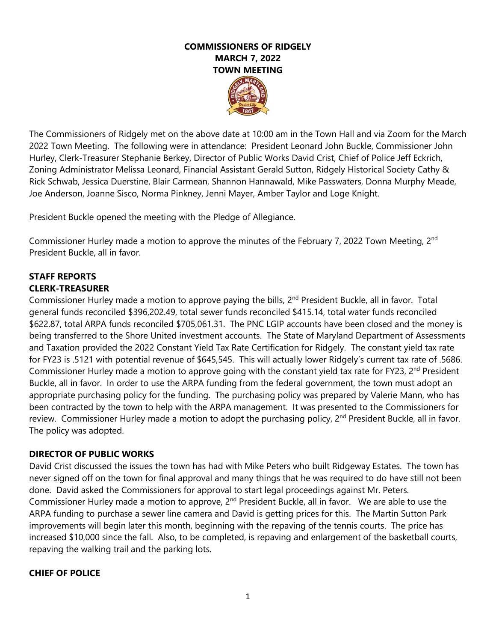# **COMMISSIONERS OF RIDGELY MARCH 7, 2022 TOWN MEETING**

The Commissioners of Ridgely met on the above date at 10:00 am in the Town Hall and via Zoom for the March 2022 Town Meeting. The following were in attendance: President Leonard John Buckle, Commissioner John Hurley, Clerk-Treasurer Stephanie Berkey, Director of Public Works David Crist, Chief of Police Jeff Eckrich, Zoning Administrator Melissa Leonard, Financial Assistant Gerald Sutton, Ridgely Historical Society Cathy & Rick Schwab, Jessica Duerstine, Blair Carmean, Shannon Hannawald, Mike Passwaters, Donna Murphy Meade, Joe Anderson, Joanne Sisco, Norma Pinkney, Jenni Mayer, Amber Taylor and Loge Knight.

President Buckle opened the meeting with the Pledge of Allegiance.

Commissioner Hurley made a motion to approve the minutes of the February 7, 2022 Town Meeting, 2<sup>nd</sup> President Buckle, all in favor.

# **STAFF REPORTS CLERK-TREASURER**

Commissioner Hurley made a motion to approve paying the bills, 2<sup>nd</sup> President Buckle, all in favor. Total general funds reconciled \$396,202.49, total sewer funds reconciled \$415.14, total water funds reconciled \$622.87, total ARPA funds reconciled \$705,061.31. The PNC LGIP accounts have been closed and the money is being transferred to the Shore United investment accounts. The State of Maryland Department of Assessments and Taxation provided the 2022 Constant Yield Tax Rate Certification for Ridgely. The constant yield tax rate for FY23 is .5121 with potential revenue of \$645,545. This will actually lower Ridgely's current tax rate of .5686. Commissioner Hurley made a motion to approve going with the constant yield tax rate for FY23, 2<sup>nd</sup> President Buckle, all in favor. In order to use the ARPA funding from the federal government, the town must adopt an appropriate purchasing policy for the funding. The purchasing policy was prepared by Valerie Mann, who has been contracted by the town to help with the ARPA management. It was presented to the Commissioners for review. Commissioner Hurley made a motion to adopt the purchasing policy, 2<sup>nd</sup> President Buckle, all in favor. The policy was adopted.

# **DIRECTOR OF PUBLIC WORKS**

David Crist discussed the issues the town has had with Mike Peters who built Ridgeway Estates. The town has never signed off on the town for final approval and many things that he was required to do have still not been done. David asked the Commissioners for approval to start legal proceedings against Mr. Peters. Commissioner Hurley made a motion to approve, 2<sup>nd</sup> President Buckle, all in favor. We are able to use the ARPA funding to purchase a sewer line camera and David is getting prices for this. The Martin Sutton Park improvements will begin later this month, beginning with the repaving of the tennis courts. The price has increased \$10,000 since the fall. Also, to be completed, is repaving and enlargement of the basketball courts, repaving the walking trail and the parking lots.

# **CHIEF OF POLICE**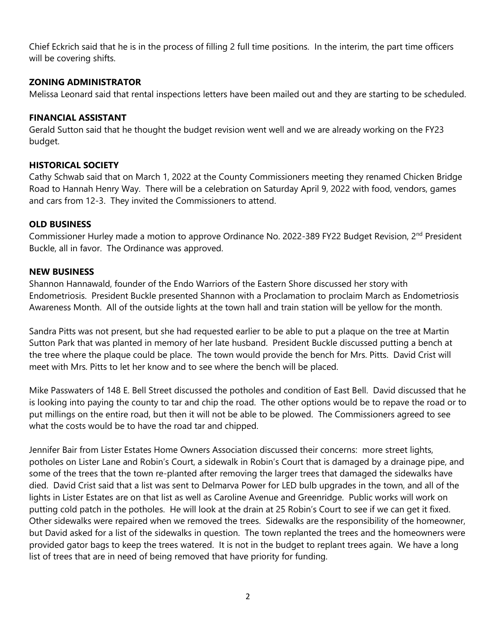Chief Eckrich said that he is in the process of filling 2 full time positions. In the interim, the part time officers will be covering shifts.

# **ZONING ADMINISTRATOR**

Melissa Leonard said that rental inspections letters have been mailed out and they are starting to be scheduled.

#### **FINANCIAL ASSISTANT**

Gerald Sutton said that he thought the budget revision went well and we are already working on the FY23 budget.

#### **HISTORICAL SOCIETY**

Cathy Schwab said that on March 1, 2022 at the County Commissioners meeting they renamed Chicken Bridge Road to Hannah Henry Way. There will be a celebration on Saturday April 9, 2022 with food, vendors, games and cars from 12-3. They invited the Commissioners to attend.

#### **OLD BUSINESS**

Commissioner Hurley made a motion to approve Ordinance No. 2022-389 FY22 Budget Revision, 2<sup>nd</sup> President Buckle, all in favor. The Ordinance was approved.

#### **NEW BUSINESS**

Shannon Hannawald, founder of the Endo Warriors of the Eastern Shore discussed her story with Endometriosis. President Buckle presented Shannon with a Proclamation to proclaim March as Endometriosis Awareness Month. All of the outside lights at the town hall and train station will be yellow for the month.

Sandra Pitts was not present, but she had requested earlier to be able to put a plaque on the tree at Martin Sutton Park that was planted in memory of her late husband. President Buckle discussed putting a bench at the tree where the plaque could be place. The town would provide the bench for Mrs. Pitts. David Crist will meet with Mrs. Pitts to let her know and to see where the bench will be placed.

Mike Passwaters of 148 E. Bell Street discussed the potholes and condition of East Bell. David discussed that he is looking into paying the county to tar and chip the road. The other options would be to repave the road or to put millings on the entire road, but then it will not be able to be plowed. The Commissioners agreed to see what the costs would be to have the road tar and chipped.

Jennifer Bair from Lister Estates Home Owners Association discussed their concerns: more street lights, potholes on Lister Lane and Robin's Court, a sidewalk in Robin's Court that is damaged by a drainage pipe, and some of the trees that the town re-planted after removing the larger trees that damaged the sidewalks have died. David Crist said that a list was sent to Delmarva Power for LED bulb upgrades in the town, and all of the lights in Lister Estates are on that list as well as Caroline Avenue and Greenridge. Public works will work on putting cold patch in the potholes. He will look at the drain at 25 Robin's Court to see if we can get it fixed. Other sidewalks were repaired when we removed the trees. Sidewalks are the responsibility of the homeowner, but David asked for a list of the sidewalks in question. The town replanted the trees and the homeowners were provided gator bags to keep the trees watered. It is not in the budget to replant trees again. We have a long list of trees that are in need of being removed that have priority for funding.